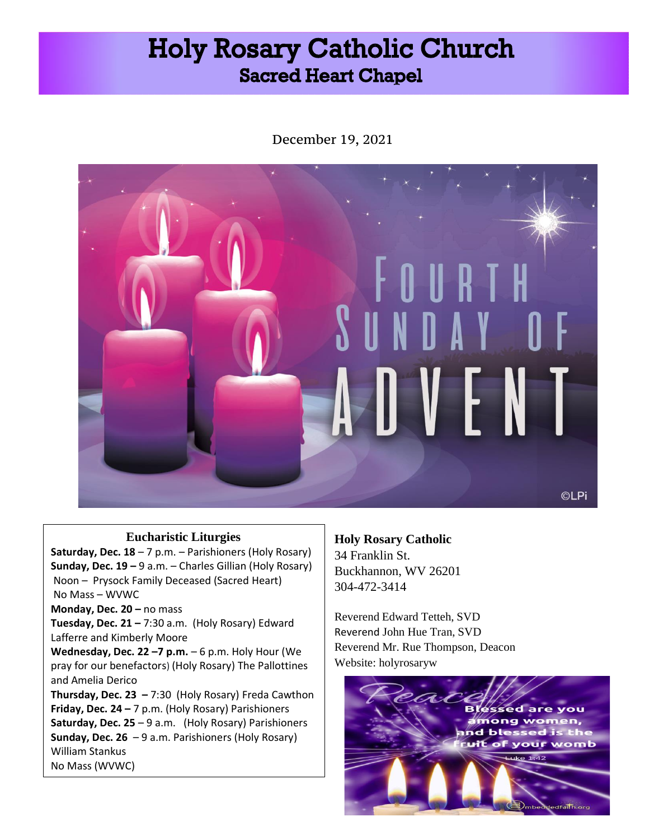# **Holy Rosary Catholic Church Sacred Heart Chapel**

December 19, 2021



## **Eucharistic Liturgies**

**Saturday, Dec. 18** – 7 p.m. – Parishioners (Holy Rosary) **Sunday, Dec. 19 –** 9 a.m. – Charles Gillian (Holy Rosary) Noon – Prysock Family Deceased (Sacred Heart) No Mass – WVWC

**Monday, Dec. 20 – no mass** 

**Tuesday, Dec. 21 –** 7:30 a.m. (Holy Rosary) Edward Lafferre and Kimberly Moore

**Wednesday, Dec. 22 –7 p.m.** – 6 p.m. Holy Hour (We pray for our benefactors) (Holy Rosary) The Pallottines and Amelia Derico

**Thursday, Dec. 23 –** 7:30 (Holy Rosary) Freda Cawthon **Friday, Dec. 24 –** 7 p.m. (Holy Rosary) Parishioners **Saturday, Dec. 25** – 9 a.m. (Holy Rosary) Parishioners **Sunday, Dec. 26** – 9 a.m. Parishioners (Holy Rosary) William Stankus No Mass (WVWC)

**Holy Rosary Catholic**  34 Franklin St. Buckhannon, WV 26201 304-472-3414

Reverend Edward Tetteh, SVD Reverend John Hue Tran, SVD Reverend Mr. Rue Thompson, Deacon Website: holyrosaryw

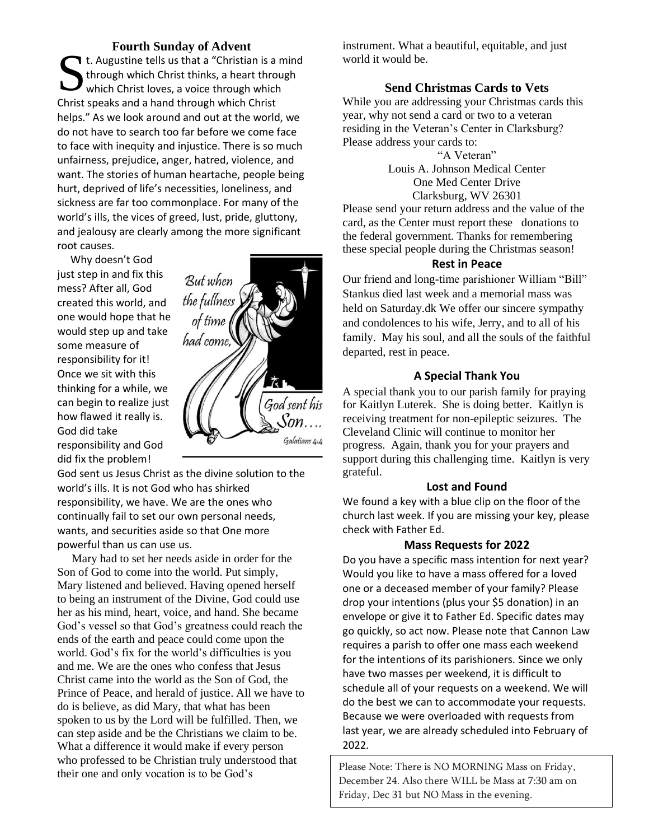### **Fourth Sunday of Advent**

t. Augustine tells us that a "Christian is a mind<br>through which Christ thinks, a heart through<br>which Christ loves, a voice through which through which Christ thinks, a heart through which Christ loves, a voice through which Christ speaks and a hand through which Christ helps." As we look around and out at the world, we do not have to search too far before we come face to face with inequity and injustice. There is so much unfairness, prejudice, anger, hatred, violence, and want. The stories of human heartache, people being hurt, deprived of life's necessities, loneliness, and sickness are far too commonplace. For many of the world's ills, the vices of greed, lust, pride, gluttony, and jealousy are clearly among the more significant root causes.

 Why doesn't God just step in and fix this mess? After all, God created this world, and one would hope that he would step up and take some measure of responsibility for it! Once we sit with this thinking for a while, we can begin to realize just how flawed it really is. God did take responsibility and God did fix the problem!

God sent us Jesus Christ as the divine solution to the world's ills. It is not God who has shirked responsibility, we have. We are the ones who continually fail to set our own personal needs, wants, and securities aside so that One more powerful than us can use us.

 Mary had to set her needs aside in order for the Son of God to come into the world. Put simply, Mary listened and believed. Having opened herself to being an instrument of the Divine, God could use her as his mind, heart, voice, and hand. She became God's vessel so that God's greatness could reach the ends of the earth and peace could come upon the world. God's fix for the world's difficulties is you and me. We are the ones who confess that Jesus Christ came into the world as the Son of God, the Prince of Peace, and herald of justice. All we have to do is believe, as did Mary, that what has been spoken to us by the Lord will be fulfilled. Then, we can step aside and be the Christians we claim to be. What a difference it would make if every person who professed to be Christian truly understood that their one and only vocation is to be God's

instrument. What a beautiful, equitable, and just world it would be.

## **Send Christmas Cards to Vets**

While you are addressing your Christmas cards this year, why not send a card or two to a veteran residing in the Veteran's Center in Clarksburg? Please address your cards to:

"A Veteran" Louis A. Johnson Medical Center One Med Center Drive Clarksburg, WV 26301

Please send your return address and the value of the card, as the Center must report these donations to the federal government. Thanks for remembering these special people during the Christmas season!

## **Rest in Peace**

Our friend and long-time parishioner William "Bill" Stankus died last week and a memorial mass was held on Saturday.dk We offer our sincere sympathy and condolences to his wife, Jerry, and to all of his family. May his soul, and all the souls of the faithful departed, rest in peace.

### **A Special Thank You**

A special thank you to our parish family for praying for Kaitlyn Luterek. She is doing better. Kaitlyn is receiving treatment for non-epileptic seizures. The Cleveland Clinic will continue to monitor her progress. Again, thank you for your prayers and support during this challenging time. Kaitlyn is very grateful.

#### **Lost and Found**

We found a key with a blue clip on the floor of the church last week. If you are missing your key, please check with Father Ed.

#### **Mass Requests for 2022**

Do you have a specific mass intention for next year? Would you like to have a mass offered for a loved one or a deceased member of your family? Please drop your intentions (plus your \$5 donation) in an envelope or give it to Father Ed. Specific dates may go quickly, so act now. Please note that Cannon Law requires a parish to offer one mass each weekend for the intentions of its parishioners. Since we only have two masses per weekend, it is difficult to schedule all of your requests on a weekend. We will do the best we can to accommodate your requests. Because we were overloaded with requests from last year, we are already scheduled into February of 2022.

Please Note: There is NO MORNING Mass on Friday, December 24. Also there WILL be Mass at 7:30 am on Friday, Dec 31 but NO Mass in the evening.

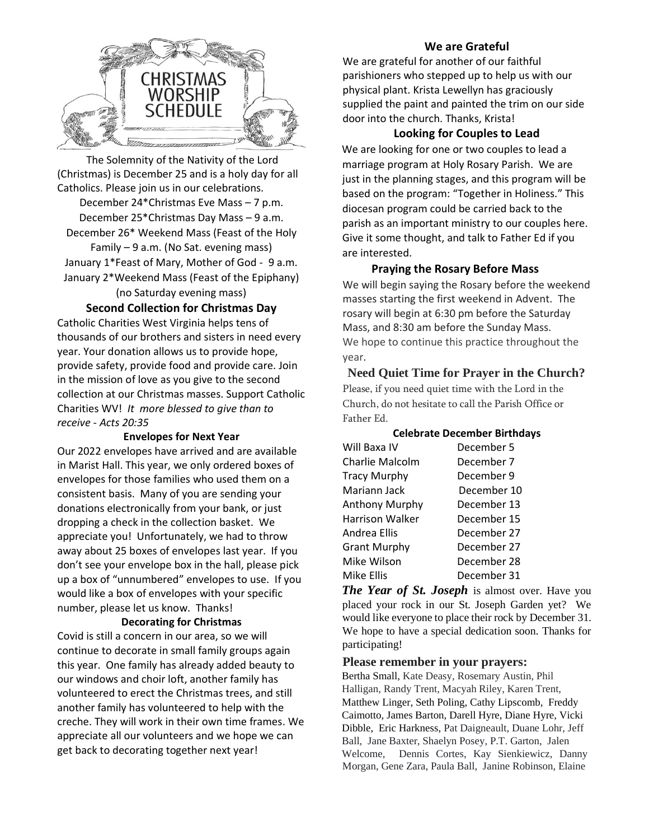

 The Solemnity of the Nativity of the Lord (Christmas) is December 25 and is a holy day for all Catholics. Please join us in our celebrations. December 24\*Christmas Eve Mass – 7 p.m. December 25\*Christmas Day Mass – 9 a.m. December 26\* Weekend Mass (Feast of the Holy Family – 9 a.m. (No Sat. evening mass) January 1\*Feast of Mary, Mother of God - 9 a.m. January 2\*Weekend Mass (Feast of the Epiphany) (no Saturday evening mass)

## **Second Collection for Christmas Day**

Catholic Charities West Virginia helps tens of thousands of our brothers and sisters in need every year. Your donation allows us to provide hope, provide safety, provide food and provide care. Join in the mission of love as you give to the second collection at our Christmas masses. Support Catholic Charities WV! *It more blessed to give than to receive - Acts 20:35*

#### **Envelopes for Next Year**

Our 2022 envelopes have arrived and are available in Marist Hall. This year, we only ordered boxes of envelopes for those families who used them on a consistent basis. Many of you are sending your donations electronically from your bank, or just dropping a check in the collection basket. We appreciate you! Unfortunately, we had to throw away about 25 boxes of envelopes last year. If you don't see your envelope box in the hall, please pick up a box of "unnumbered" envelopes to use. If you would like a box of envelopes with your specific number, please let us know. Thanks!

#### **Decorating for Christmas**

Covid is still a concern in our area, so we will continue to decorate in small family groups again this year. One family has already added beauty to our windows and choir loft, another family has volunteered to erect the Christmas trees, and still another family has volunteered to help with the creche. They will work in their own time frames. We appreciate all our volunteers and we hope we can get back to decorating together next year!

## **We are Grateful**

We are grateful for another of our faithful parishioners who stepped up to help us with our physical plant. Krista Lewellyn has graciously supplied the paint and painted the trim on our side door into the church. Thanks, Krista!

## **Looking for Couples to Lead**

We are looking for one or two couples to lead a marriage program at Holy Rosary Parish. We are just in the planning stages, and this program will be based on the program: "Together in Holiness." This diocesan program could be carried back to the parish as an important ministry to our couples here. Give it some thought, and talk to Father Ed if you are interested.

## **Praying the Rosary Before Mass**

We will begin saying the Rosary before the weekend masses starting the first weekend in Advent. The rosary will begin at 6:30 pm before the Saturday Mass, and 8:30 am before the Sunday Mass. We hope to continue this practice throughout the year.

**Need Quiet Time for Prayer in the Church?**  Please, if you need quiet time with the Lord in the Church, do not hesitate to call the Parish Office or Father Ed.

| <b>Celebrate December Birthdays</b> |             |
|-------------------------------------|-------------|
| Will Baxa IV                        | December 5  |
| Charlie Malcolm                     | December 7  |
| Tracy Murphy                        | December 9  |
| Mariann Jack                        | December 10 |
| Anthony Murphy                      | December 13 |
| Harrison Walker                     | December 15 |
| Andrea Ellis                        | December 27 |
| <b>Grant Murphy</b>                 | December 27 |
| Mike Wilson                         | December 28 |
| Mike Ellis                          | December 31 |

*The Year of St. Joseph* is almost over. Have you placed your rock in our St. Joseph Garden yet? We would like everyone to place their rock by December 31. We hope to have a special dedication soon. Thanks for participating!

## **Please remember in your prayers:**

Bertha Small, Kate Deasy, Rosemary Austin, Phil Halligan, Randy Trent, Macyah Riley, Karen Trent, Matthew Linger, Seth Poling, Cathy Lipscomb, Freddy Caimotto, James Barton, Darell Hyre, Diane Hyre, Vicki Dibble, Eric Harkness, Pat Daigneault, Duane Lohr, Jeff Ball, Jane Baxter, Shaelyn Posey, P.T. Garton, Jalen Welcome, Dennis Cortes, Kay Sienkiewicz, Danny Morgan, Gene Zara, Paula Ball, Janine Robinson, Elaine